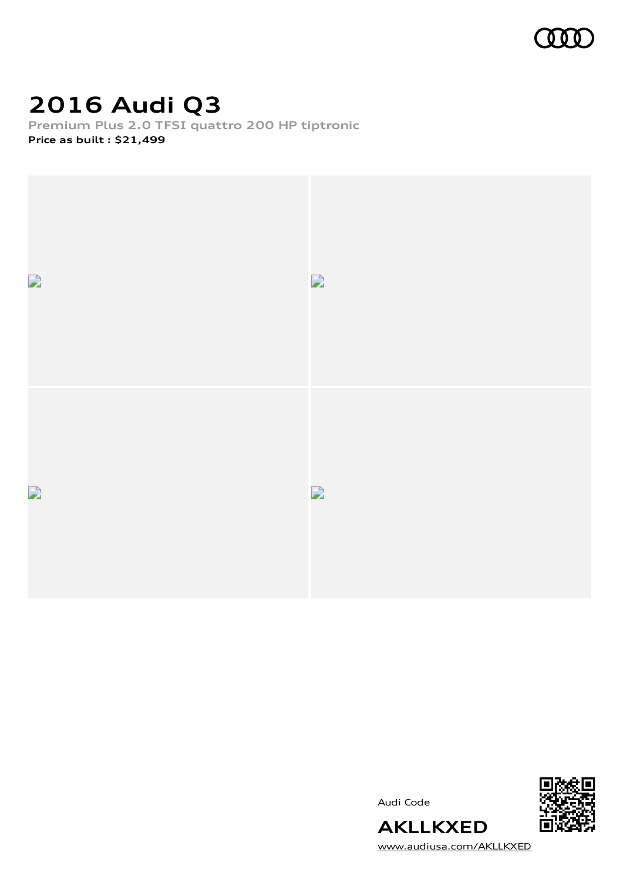

# **2016 Audi Q3**

**Premium Plus 2.0 TFSI quattro 200 HP tiptronic Price as built [:](#page-9-0) \$21,499**



Audi Code



[www.audiusa.com/AKLLKXED](https://www.audiusa.com/AKLLKXED)

**AKLLKXED**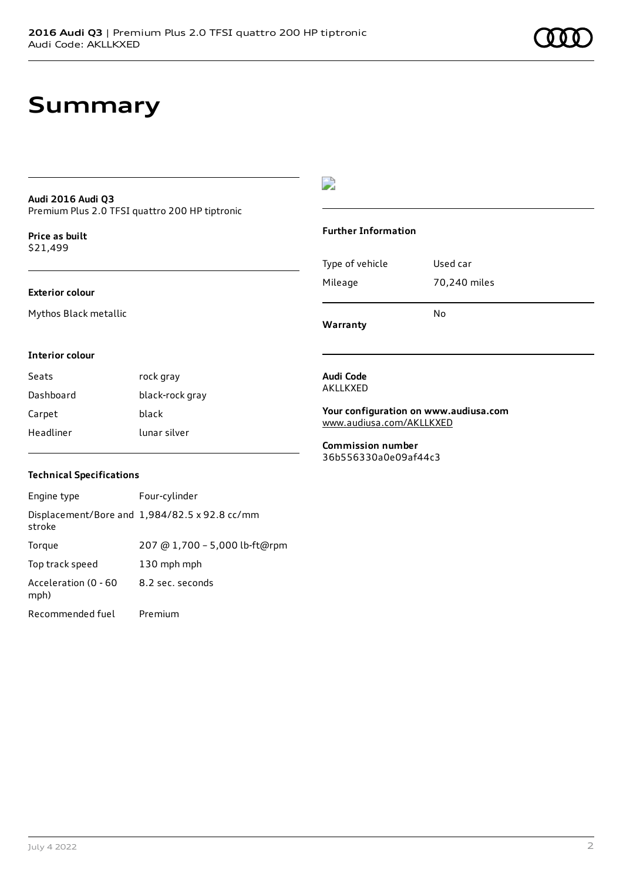## **Summary**

### **Audi 2016 Audi Q3** Premium Plus 2.0 TFSI quattro 200 HP tiptronic

**Price as buil[t](#page-9-0)** \$21,499

### **Exterior colour**

Mythos Black metallic

### $\overline{\phantom{a}}$

### **Further Information**

|                 | No           |
|-----------------|--------------|
| Mileage         | 70,240 miles |
| Type of vehicle | Used car     |

**Warranty**

### **Interior colour**

Seats rock gray Dashboard black-rock gray Carpet black Headliner lunar silver

### **Technical Specifications**

| Engine type                  | Four-cylinder                                 |
|------------------------------|-----------------------------------------------|
| stroke                       | Displacement/Bore and 1,984/82.5 x 92.8 cc/mm |
| Torque                       | 207 @ 1,700 - 5,000 lb-ft@rpm                 |
| Top track speed              | 130 mph mph                                   |
| Acceleration (0 - 60<br>mph) | 8.2 sec. seconds                              |
| Recommended fuel             | Premium                                       |

**Audi Code** AKLLKXED

**Your configuration on www.audiusa.com** [www.audiusa.com/AKLLKXED](https://www.audiusa.com/AKLLKXED)

**Commission number** 36b556330a0e09af44c3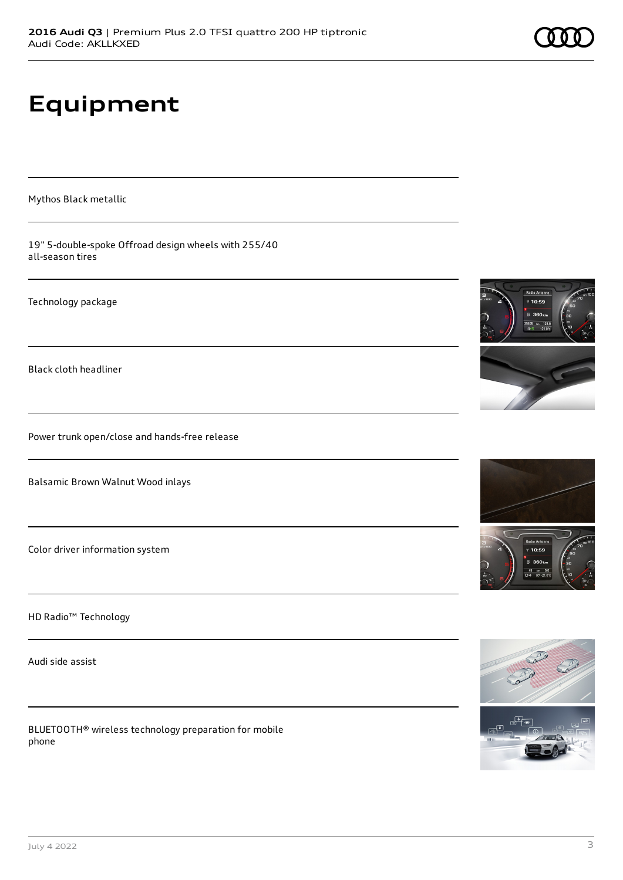# **Equipment**

Mythos Black metallic

19" 5-double-spoke Offroad design wheels with 255/40 all-season tires

Technology package

Black cloth headliner

Power trunk open/close and hands-free release

Balsamic Brown Walnut Wood inlays

Color driver information system

HD Radio™ Technology

Audi side assist

BLUETOOTH® wireless technology preparation for mobile phone







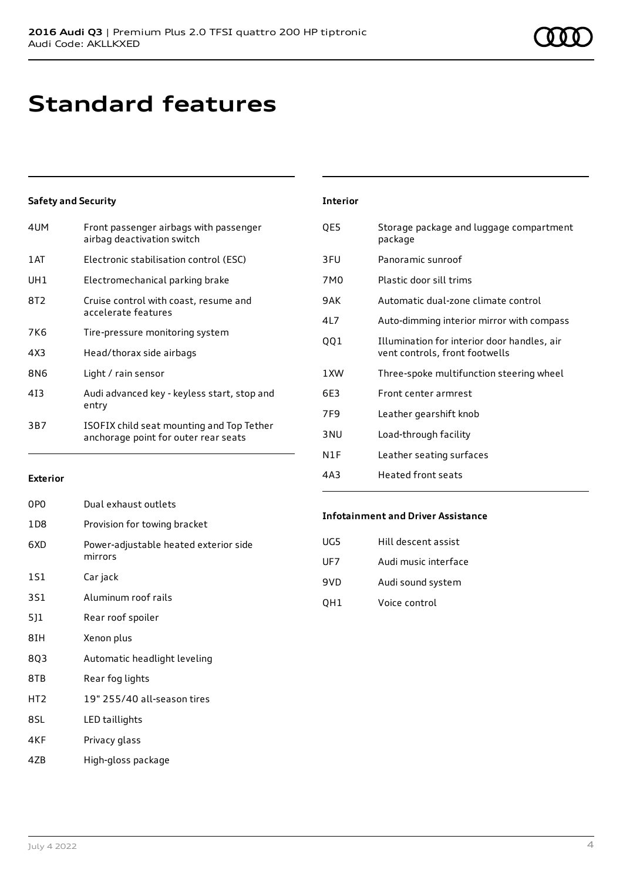# **Standard features**

### **Safety and Security**

| Front passenger airbags with passenger<br>airbag deactivation switch              |
|-----------------------------------------------------------------------------------|
| Electronic stabilisation control (ESC)                                            |
| Electromechanical parking brake                                                   |
| Cruise control with coast, resume and<br>accelerate features                      |
| Tire-pressure monitoring system                                                   |
| Head/thorax side airbags                                                          |
| Light / rain sensor                                                               |
| Audi advanced key - keyless start, stop and<br>entry                              |
| ISOFIX child seat mounting and Top Tether<br>anchorage point for outer rear seats |
|                                                                                   |

| <b>Interior</b> |                                                                               |
|-----------------|-------------------------------------------------------------------------------|
| QE5             | Storage package and luggage compartment<br>package                            |
| 3FU             | Panoramic sunroof                                                             |
| 7M0             | Plastic door sill trims                                                       |
| 9 A K           | Automatic dual-zone climate control                                           |
| 41 7            | Auto-dimming interior mirror with compass                                     |
| QQ1             | Illumination for interior door handles, air<br>vent controls, front footwells |
| 1 XW            | Three-spoke multifunction steering wheel                                      |
| 6E3             | Front center armrest                                                          |
| 7F <sub>9</sub> | Leather gearshift knob                                                        |
| 3 <sub>NU</sub> | Load-through facility                                                         |
| N1F             | Leather seating surfaces                                                      |
| 4A3             | Heated front seats                                                            |

### **Exterior**

| 0PO             | Dual exhaust outlets                             |
|-----------------|--------------------------------------------------|
| 1D8             | Provision for towing bracket                     |
| 6XD             | Power-adjustable heated exterior side<br>mirrors |
| 1S1             | Car jack                                         |
| 3S1             | Aluminum roof rails                              |
| 5]1             | Rear roof spoiler                                |
| 8IH             | Xenon plus                                       |
| 803             | Automatic headlight leveling                     |
| 8TB             | Rear fog lights                                  |
| HT <sub>2</sub> | 19" 255/40 all-season tires                      |
| 8SL             | LED taillights                                   |
| 4KF             | Privacy glass                                    |

#### **Infotainment and Driver Assistance**

| UG5 | Hill descent assist  |
|-----|----------------------|
| UF7 | Audi music interface |
| 9VD | Audi sound system    |
| OH1 | Voice control        |

4ZB High-gloss package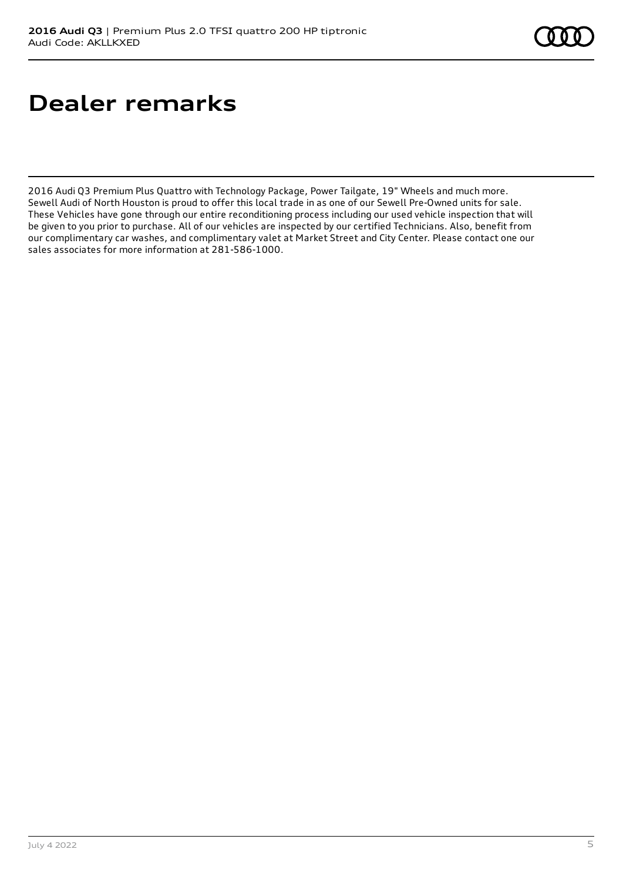# **Dealer remarks**

2016 Audi Q3 Premium Plus Quattro with Technology Package, Power Tailgate, 19" Wheels and much more. Sewell Audi of North Houston is proud to offer this local trade in as one of our Sewell Pre-Owned units for sale. These Vehicles have gone through our entire reconditioning process including our used vehicle inspection that will be given to you prior to purchase. All of our vehicles are inspected by our certified Technicians. Also, benefit from our complimentary car washes, and complimentary valet at Market Street and City Center. Please contact one our sales associates for more information at 281-586-1000.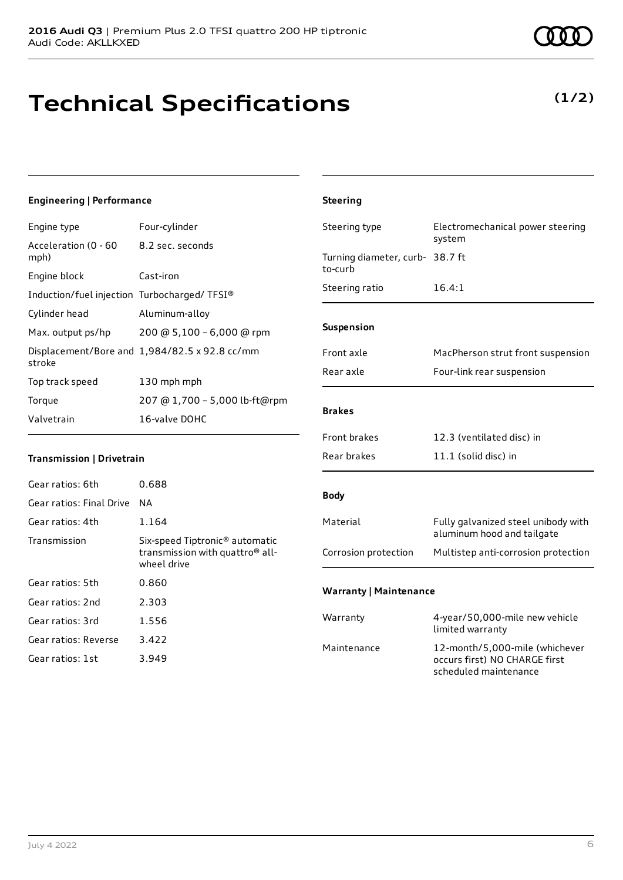# **Technical Specifications**

#### July 4 2022 6

### **(1/2)**

| Engine type                                 | Four-cylinder                                 |
|---------------------------------------------|-----------------------------------------------|
| Acceleration (0 - 60<br>mph)                | 8.2 sec. seconds                              |
| Engine block                                | Cast-iron                                     |
| Induction/fuel injection Turbocharged/TFSI® |                                               |
| Cylinder head                               | Aluminum-alloy                                |
| Max. output ps/hp                           | 200 @ 5,100 - 6,000 @ rpm                     |
| stroke                                      | Displacement/Bore and 1,984/82.5 x 92.8 cc/mm |
| Top track speed                             | 130 mph mph                                   |
| Torque                                      | 207 @ 1,700 - 5,000 lb-ft@rpm                 |
| Valvetrain                                  | 16-valve DOHC                                 |

### **Transmission | Drivetrain**

| Gear ratios: 6th         | 0.688                                                                                                    |
|--------------------------|----------------------------------------------------------------------------------------------------------|
| Gear ratios: Final Drive | ΝA                                                                                                       |
| Gear ratios: 4th         | 1.164                                                                                                    |
| Transmission             | Six-speed Tiptronic <sup>®</sup> automatic<br>transmission with quattro <sup>®</sup> all-<br>wheel drive |
| Gear ratios: 5th         | 0.860                                                                                                    |
| Gear ratios: 2nd         | 2.303                                                                                                    |
| Gear ratios: 3rd         | 1.556                                                                                                    |
| Gear ratios: Reverse     | 3.422                                                                                                    |
| Gear ratios: 1st         | 3.949                                                                                                    |

| <b>Steering</b>                            |                                                                   |
|--------------------------------------------|-------------------------------------------------------------------|
| Steering type                              | Electromechanical power steering<br>system                        |
| Turning diameter, curb- 38.7 ft<br>to-curb |                                                                   |
| Steering ratio                             | 16.4:1                                                            |
| Suspension                                 |                                                                   |
| Front axle                                 | MacPherson strut front suspension                                 |
| Rear axle                                  | Four-link rear suspension                                         |
| <b>Brakes</b>                              |                                                                   |
| <b>Front brakes</b>                        | 12.3 (ventilated disc) in                                         |
| Rear brakes                                | 11.1 (solid disc) in                                              |
| <b>Body</b>                                |                                                                   |
| Material                                   | Fully galvanized steel unibody with<br>aluminum hood and tailgate |
| Corrosion protection                       | Multistep anti-corrosion protection                               |
| <b>Warranty   Maintenance</b>              |                                                                   |
| Warranty                                   | 4-year/50,000-mile new vehicle<br>limited warranty                |
| Maintenance                                | 12-month/5,000-mile (whichever<br>occurs first) NO CHARGE first   |

scheduled maintenance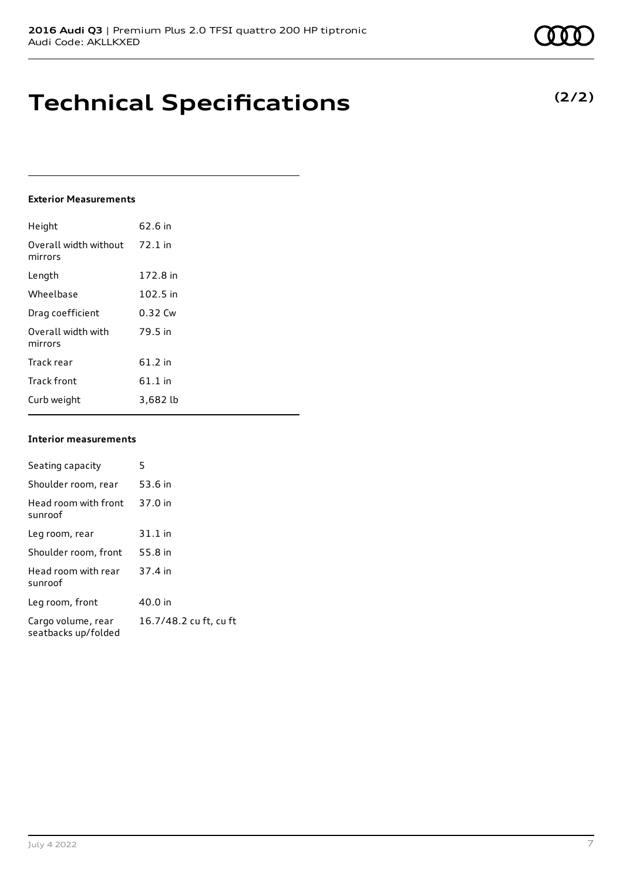## **Technical Specifications**

### **Exterior Measurements**

| Height                           | 62.6 in   |
|----------------------------------|-----------|
| Overall width without<br>mirrors | $72.1$ in |
| Length                           | 172.8 in  |
| Wheelbase                        | 102.5 in  |
| Drag coefficient                 | 0.32 Cw   |
| Overall width with<br>mirrors    | 79.5 in   |
| Track rear                       | $61.2$ in |
| <b>Track front</b>               | $61.1$ in |
| Curb weight                      | 3,682 lb  |

### **Interior measurements**

| Seating capacity                          | 5                      |
|-------------------------------------------|------------------------|
| Shoulder room, rear                       | 53.6 in                |
| Head room with front<br>sunroof           | 37.0 in                |
| Leg room, rear                            | $31.1$ in              |
| Shoulder room, front                      | 55.8 in                |
| Head room with rear<br>sunroof            | 37.4 in                |
| Leg room, front                           | 40.0 in                |
| Cargo volume, rear<br>seatbacks up/folded | 16.7/48.2 cu ft, cu ft |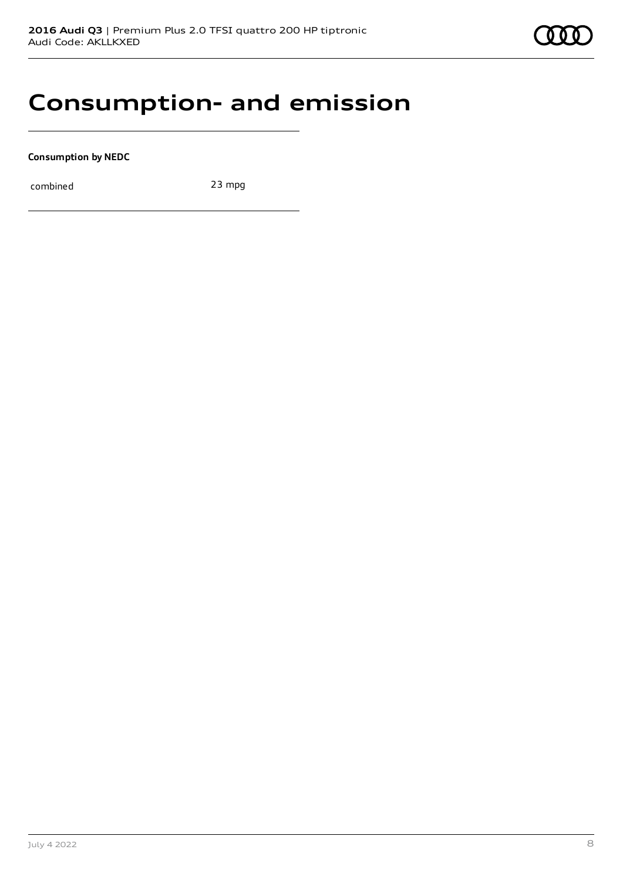### **Consumption- and emission**

**Consumption by NEDC**

combined 23 mpg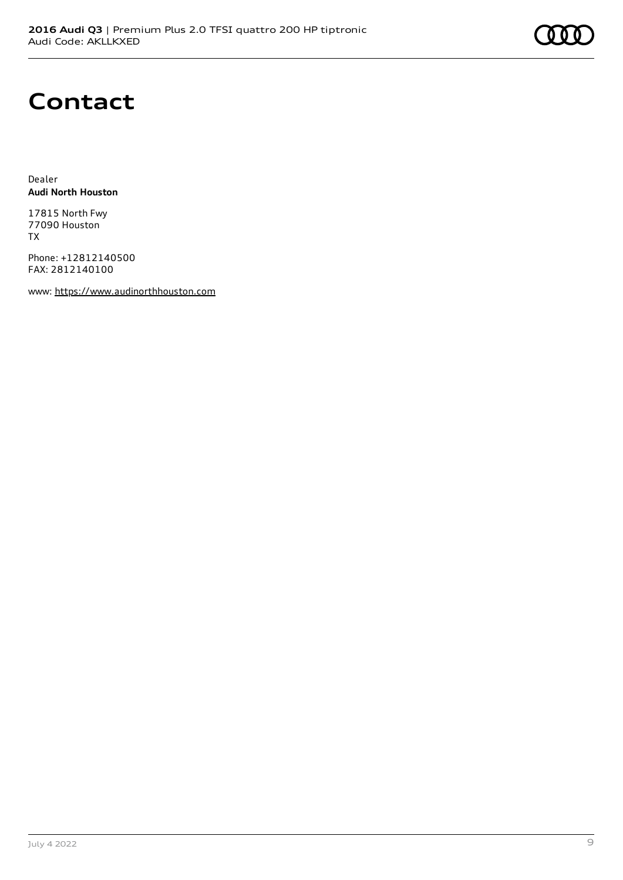

### **Contact**

Dealer **Audi North Houston**

17815 North Fwy 77090 Houston TX

Phone: +12812140500 FAX: 2812140100

www: [https://www.audinorthhouston.com](https://www.audinorthhouston.com/)